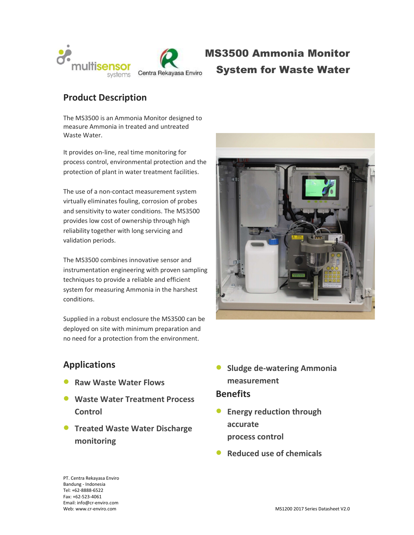

# MS3500 Ammonia Monitor System for Waste Water

# Product Description

The MS3500 is an Ammonia Monitor designed to measure Ammonia in treated and untreated Waste Water.

It provides on-line, real time monitoring for process control, environmental protection and the protection of plant in water treatment facilities.

The use of a non-contact measurement system virtually eliminates fouling, corrosion of probes and sensitivity to water conditions. The MS3500 provides low cost of ownership through high reliability together with long servicing and validation periods.

The MS3500 combines innovative sensor and instrumentation engineering with proven sampling techniques to provide a reliable and efficient system for measuring Ammonia in the harshest conditions.

Supplied in a robust enclosure the MS3500 can be deployed on site with minimum preparation and no need for a protection from the environment.



## Applications

- Raw Waste Water Flows
- **Waste Water Treatment Process Control**
- **Treated Waste Water Discharge** monitoring
- **Sludge de-watering Ammonia** measurement

### **Benefits**

- **•** Energy reduction through accurate process control
- Reduced use of chemicals

PT. Centra Rekayasa Enviro Bandung - Indonesia Tel: +62-8888-6522 Fax: +62-523-4061 Email: info@cr-enviro.com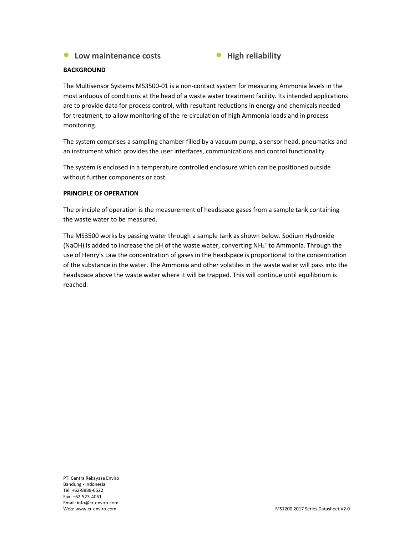#### • Low maintenance costs • High reliability



#### **BACKGROUND**

The Multisensor Systems MS3500-01 is a non-contact system for measuring Ammonia levels in the most arduous of conditions at the head of a waste water treatment facility. Its intended applications are to provide data for process control, with resultant reductions in energy and chemicals needed for treatment, to allow monitoring of the re-circulation of high Ammonia loads and in process monitoring.

The system comprises a sampling chamber filled by a vacuum pump, a sensor head, pneumatics and an instrument which provides the user interfaces, communications and control functionality.

The system is enclosed in a temperature controlled enclosure which can be positioned outside without further components or cost.

#### PRINCIPLE OF OPERATION

The principle of operation is the measurement of headspace gases from a sample tank containing the waste water to be measured.

The MS3500 works by passing water through a sample tank as shown below. Sodium Hydroxide (NaOH) is added to increase the pH of the waste water, converting NH<sub>4</sub><sup>+</sup> to Ammonia. Through the use of Henry's Law the concentration of gases in the headspace is proportional to the concentration of the substance in the water. The Ammonia and other volatiles in the waste water will pass into the headspace above the waste water where it will be trapped. This will continue until equilibrium is reached.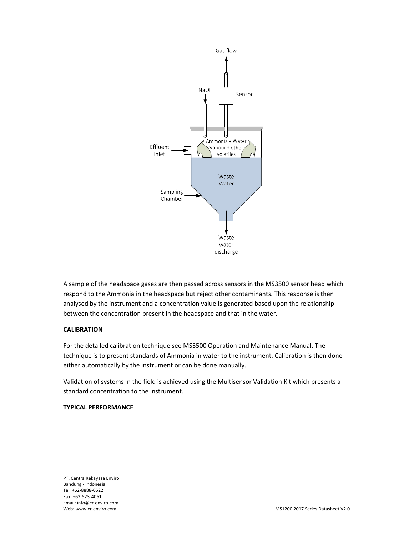

A sample of the headspace gases are then passed across sensors in the MS3500 sensor head which respond to the Ammonia in the headspace but reject other contaminants. This response is then analysed by the instrument and a concentration value is generated based upon the relationship between the concentration present in the headspace and that in the water.

#### CALIBRATION

For the detailed calibration technique see MS3500 Operation and Maintenance Manual. The technique is to present standards of Ammonia in water to the instrument. Calibration is then done either automatically by the instrument or can be done manually.

Validation of systems in the field is achieved using the Multisensor Validation Kit which presents a standard concentration to the instrument.

#### TYPICAL PERFORMANCE

PT. Centra Rekayasa Enviro Bandung - Indonesia Tel: +62-8888-6522 Fax: +62-523-4061 Email: info@cr-enviro.com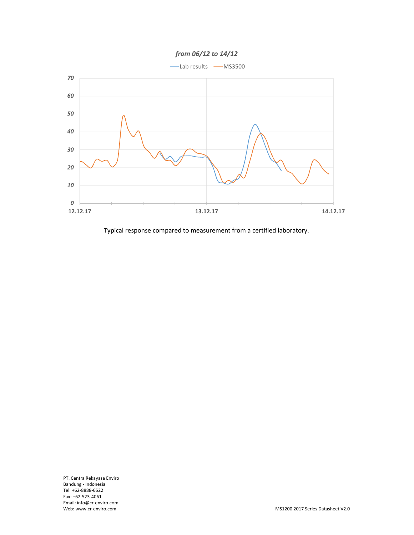



Typical response compared to measurement from a certified laboratory.